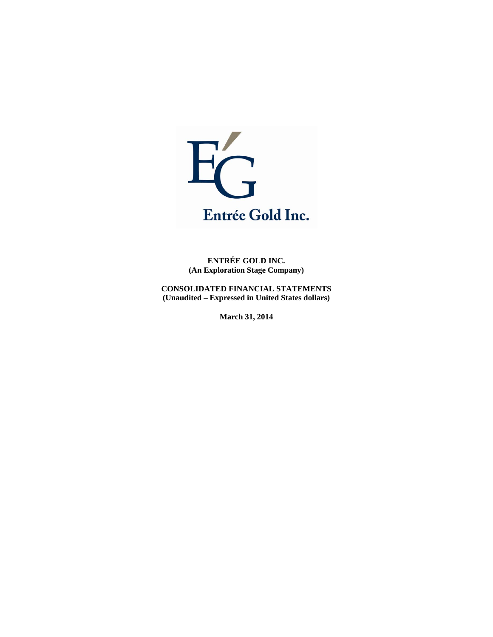

**ENTRÉE GOLD INC. (An Exploration Stage Company)** 

**CONSOLIDATED FINANCIAL STATEMENTS (Unaudited – Expressed in United States dollars)** 

**March 31, 2014**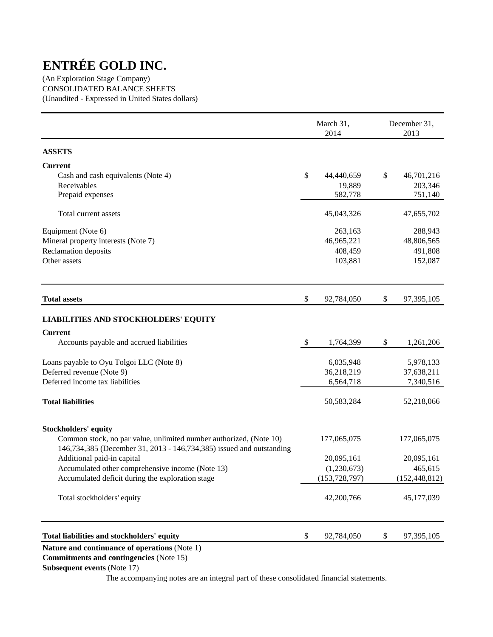(An Exploration Stage Company) CONSOLIDATED BALANCE SHEETS (Unaudited - Expressed in United States dollars)

|                                                                                                                                            | March 31,<br>2014 | December 31,<br>2013 |
|--------------------------------------------------------------------------------------------------------------------------------------------|-------------------|----------------------|
| <b>ASSETS</b>                                                                                                                              |                   |                      |
| <b>Current</b>                                                                                                                             |                   |                      |
| Cash and cash equivalents (Note 4)                                                                                                         | \$<br>44,440,659  | \$<br>46,701,216     |
| Receivables                                                                                                                                | 19,889            | 203,346              |
| Prepaid expenses                                                                                                                           | 582,778           | 751,140              |
| Total current assets                                                                                                                       | 45,043,326        | 47,655,702           |
| Equipment (Note 6)                                                                                                                         | 263,163           | 288,943              |
| Mineral property interests (Note 7)                                                                                                        | 46,965,221        | 48,806,565           |
| Reclamation deposits                                                                                                                       | 408,459           | 491,808              |
| Other assets                                                                                                                               | 103,881           | 152,087              |
| <b>Total assets</b>                                                                                                                        | \$<br>92,784,050  | \$<br>97,395,105     |
| <b>LIABILITIES AND STOCKHOLDERS' EQUITY</b>                                                                                                |                   |                      |
| <b>Current</b>                                                                                                                             |                   |                      |
| Accounts payable and accrued liabilities                                                                                                   | \$<br>1,764,399   | \$<br>1,261,206      |
| Loans payable to Oyu Tolgoi LLC (Note 8)                                                                                                   | 6,035,948         | 5,978,133            |
| Deferred revenue (Note 9)                                                                                                                  | 36,218,219        | 37,638,211           |
| Deferred income tax liabilities                                                                                                            | 6,564,718         | 7,340,516            |
| <b>Total liabilities</b>                                                                                                                   | 50,583,284        | 52,218,066           |
| <b>Stockholders' equity</b>                                                                                                                |                   |                      |
| Common stock, no par value, unlimited number authorized, (Note 10)<br>146,734,385 (December 31, 2013 - 146,734,385) issued and outstanding | 177,065,075       | 177,065,075          |
| Additional paid-in capital                                                                                                                 | 20,095,161        | 20,095,161           |
| Accumulated other comprehensive income (Note 13)                                                                                           | (1,230,673)       | 465,615              |
| Accumulated deficit during the exploration stage                                                                                           | (153, 728, 797)   | (152, 448, 812)      |
| Total stockholders' equity                                                                                                                 | 42,200,766        | 45,177,039           |
| Total liabilities and stockholders' equity                                                                                                 | \$<br>92,784,050  | \$<br>97,395,105     |

 **Nature and continuance of operations** (Note 1)

 **Commitments and contingencies** (Note 15)

#### **Subsequent events** (Note 17)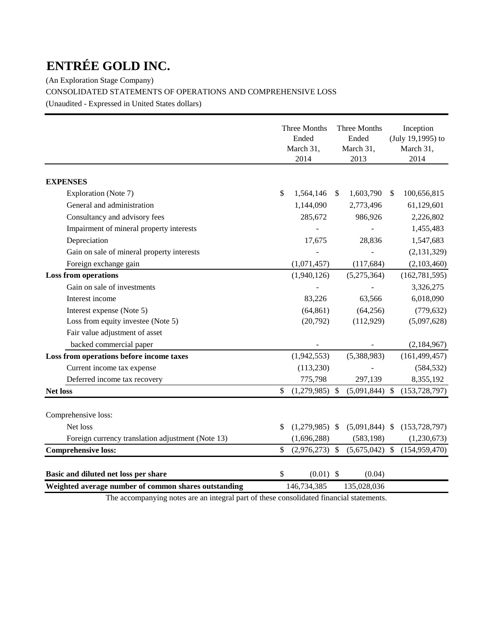(An Exploration Stage Company) CONSOLIDATED STATEMENTS OF OPERATIONS AND COMPREHENSIVE LOSS (Unaudited - Expressed in United States dollars)

|                                                      | Three Months<br>Ended<br>March 31,<br>2014 |              | Three Months<br>Ended<br>March 31,<br>2013 | Inception<br>(July 19,1995) to<br>March 31,<br>2014 |
|------------------------------------------------------|--------------------------------------------|--------------|--------------------------------------------|-----------------------------------------------------|
|                                                      |                                            |              |                                            |                                                     |
| <b>EXPENSES</b>                                      |                                            |              |                                            |                                                     |
| Exploration (Note 7)                                 | \$<br>1,564,146                            | <sup>S</sup> | 1,603,790                                  | \$<br>100,656,815                                   |
| General and administration                           | 1,144,090                                  |              | 2,773,496                                  | 61,129,601                                          |
| Consultancy and advisory fees                        | 285,672                                    |              | 986,926                                    | 2,226,802                                           |
| Impairment of mineral property interests             |                                            |              |                                            | 1,455,483                                           |
| Depreciation                                         | 17,675                                     |              | 28,836                                     | 1,547,683                                           |
| Gain on sale of mineral property interests           |                                            |              |                                            | (2, 131, 329)                                       |
| Foreign exchange gain                                | (1,071,457)                                |              | (117, 684)                                 | (2,103,460)                                         |
| <b>Loss from operations</b>                          | (1,940,126)                                |              | (5,275,364)                                | (162, 781, 595)                                     |
| Gain on sale of investments                          |                                            |              |                                            | 3,326,275                                           |
| Interest income                                      | 83,226                                     |              | 63,566                                     | 6,018,090                                           |
| Interest expense (Note 5)                            | (64, 861)                                  |              | (64, 256)                                  | (779, 632)                                          |
| Loss from equity investee (Note 5)                   | (20, 792)                                  |              | (112, 929)                                 | (5,097,628)                                         |
| Fair value adjustment of asset                       |                                            |              |                                            |                                                     |
| backed commercial paper                              |                                            |              |                                            | (2,184,967)                                         |
| Loss from operations before income taxes             | (1,942,553)                                |              | (5,388,983)                                | (161, 499, 457)                                     |
| Current income tax expense                           | (113, 230)                                 |              |                                            | (584, 532)                                          |
| Deferred income tax recovery                         | 775,798                                    |              | 297,139                                    | 8,355,192                                           |
| <b>Net loss</b>                                      | \$<br>(1,279,985)                          | $\mathbb{S}$ | (5,091,844)                                | \$<br>(153, 728, 797)                               |
|                                                      |                                            |              |                                            |                                                     |
| Comprehensive loss:                                  |                                            |              |                                            |                                                     |
| Net loss                                             | \$<br>$(1,279,985)$ \$                     |              | $(5,091,844)$ \$                           | (153, 728, 797)                                     |
| Foreign currency translation adjustment (Note 13)    | (1,696,288)                                |              | (583, 198)                                 | (1,230,673)                                         |
| <b>Comprehensive loss:</b>                           | \$<br>(2,976,273)                          | $\mathbb{S}$ | $(5,675,042)$ \$                           | (154, 959, 470)                                     |
|                                                      |                                            |              |                                            |                                                     |
| Basic and diluted net loss per share                 | \$<br>$(0.01)$ \$                          |              | (0.04)                                     |                                                     |
| Weighted average number of common shares outstanding | 146,734,385                                |              | 135,028,036                                |                                                     |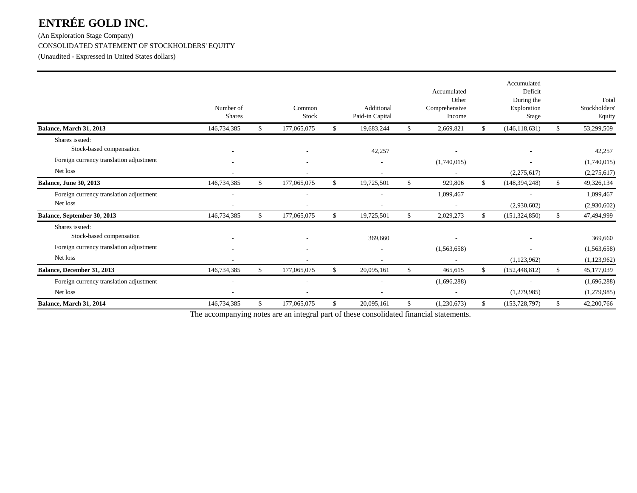(An Exploration Stage Company) CONSOLIDATED STATEMENT OF STOCKHOLDERS' EQUITY (Unaudited - Expressed in United States dollars)

 Number ofShares Common Stock Additional Paid-in Capital Accumulated Other Comprehensive Income Accumulated Deficit During the Exploration Stage Total Stockholders' Equity **Balance, March 31, 2013** 177,065,075 \$ 19,683,244 \$ 2,669,821 \$ (146,118,631) \$ 53,299,509 Shares issued: Stock-based compensation and the state of  $\sim$ - 22,257 - 42,257 - 42,257 - 52,257 - 52,257 - 52,257 - 42,257 - 42,257 - 42,257 - 42,257 - 42,257 - 42,257 - 42,257 Foreign currency translation adjustment and the state of the state of the state of the state of the state of the state of the state of the state of the state of the state of the state of the state of the state of the state - (1,740,015) - (1,740,015) - (1,740,015) - (1,740,015) Net loss -- <sup>-</sup> (2,275,617) (2,275,617) (2,275,617) **Balance, June 30, 2013 177,065,075 5 177,065,075 \$ 19,725,501 \$ 929,806 \$** (148,394,248) **\$ 49,326,134** Foreign currency translation adjustment 1,099,467 and 1,099,467 and 1,099,467 and 1,099,467 and 1,099,467 Net loss - - - - (2,930,602) (2,930,602) **Balance, September 30, 2013** 177,065,075 \$ 177,065,075 \$ 19,725,501 \$ 2,029,273 \$ (151,324,850) \$ 47,494,999 Shares issued:Stock-based compensation  $369,660$   $369,660$   $369,660$   $369,660$   $369,660$   $369,660$ Foreign currency translation adjustment  $\overline{\phantom{a}}$ - (1,563,658) - (1,563,658) - (1,563,658) - (1,563,658) Net loss - 1995년 - 대한민국의 대한민국의 대한민국의 대한민국의 대한민국의 대한민국의 대한민국의 대한민국의 대한민국의 대한민국의 대한민국의 대한민국의 대한민국의 대한민국의 대한민국의 대한민국의 대한민국 - - - (1,123,962) (1,123,962) **Balance, December 31, 2013** 1992 1146,734,385 177,065,075 **\$** 20,095,161 \$ 465,615 \$ (152,448,812) \$ 45,177,039 Foreign currency translation adjustment (1,696,288) (1,696,288) (1,696,288) (1,696,288) Net loss (1,279,985) (1,279,985) (1,279,985) **Balance, March 31, 2014 177,065,075 \$** 177,065,075 **\$** 20,095,161 **\$** (1,230,673) **\$** (153,728,797) **\$** 42,200,766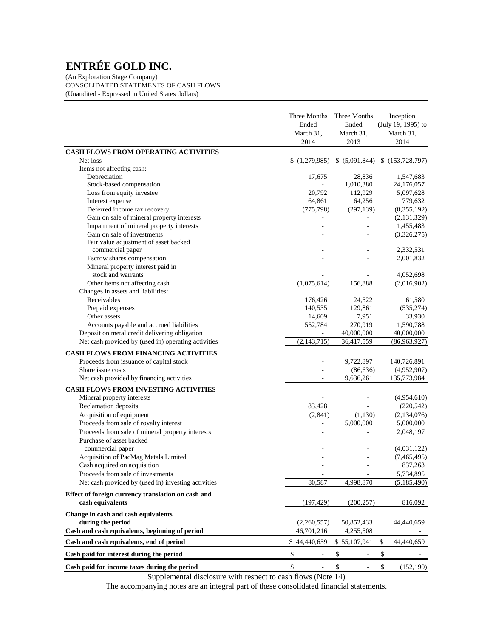(An Exploration Stage Company) CONSOLIDATED STATEMENTS OF CASH FLOWS (Unaudited - Expressed in United States dollars)

|                                                                              | Three Months<br>Ended                    | Three Months<br>Ended                    | Inception<br>(July 19, 1995) to |
|------------------------------------------------------------------------------|------------------------------------------|------------------------------------------|---------------------------------|
|                                                                              | March 31,                                | March 31,                                | March 31,                       |
|                                                                              | 2014                                     | 2013                                     | 2014                            |
| <b>CASH FLOWS FROM OPERATING ACTIVITIES</b>                                  |                                          |                                          |                                 |
| Net loss<br>Items not affecting cash:                                        | (1,279,985)                              | \$ (5,091,844) \$ (153,728,797)          |                                 |
| Depreciation                                                                 | 17,675                                   | 28,836                                   | 1,547,683                       |
| Stock-based compensation                                                     |                                          | 1,010,380                                | 24,176,057                      |
| Loss from equity investee                                                    | 20.792                                   | 112,929                                  | 5,097,628                       |
| Interest expense                                                             | 64,861                                   | 64,256                                   | 779,632                         |
| Deferred income tax recovery                                                 | (775, 798)                               | (297, 139)                               | (8,355,192)                     |
| Gain on sale of mineral property interests                                   | ÷                                        | ÷,                                       | (2,131,329)                     |
| Impairment of mineral property interests                                     | ÷,                                       |                                          | 1,455,483                       |
| Gain on sale of investments                                                  | ÷.                                       |                                          | (3,326,275)                     |
| Fair value adjustment of asset backed                                        |                                          |                                          |                                 |
| commercial paper                                                             |                                          |                                          | 2,332,531                       |
| Escrow shares compensation                                                   |                                          |                                          | 2,001,832                       |
| Mineral property interest paid in                                            |                                          |                                          |                                 |
| stock and warrants                                                           |                                          |                                          | 4,052,698                       |
| Other items not affecting cash                                               | (1,075,614)                              | 156,888                                  | (2,016,902)                     |
| Changes in assets and liabilities:                                           |                                          |                                          |                                 |
| Receivables                                                                  | 176,426                                  | 24,522                                   | 61,580                          |
| Prepaid expenses                                                             | 140,535                                  | 129,861                                  | (535, 274)                      |
| Other assets                                                                 | 14,609                                   | 7,951                                    | 33,930                          |
| Accounts payable and accrued liabilities                                     | 552,784                                  | 270,919                                  | 1,590,788                       |
| Deposit on metal credit delivering obligation                                | ÷.                                       | 40,000,000                               | 40,000,000                      |
| Net cash provided by (used in) operating activities                          | (2,143,715)                              | 36,417,559                               | (86,963,927)                    |
| <b>CASH FLOWS FROM FINANCING ACTIVITIES</b>                                  |                                          |                                          |                                 |
| Proceeds from issuance of capital stock                                      |                                          | 9,722,897                                | 140,726,891                     |
| Share issue costs                                                            | ÷,                                       | (86, 636)                                | (4,952,907)                     |
| Net cash provided by financing activities                                    | ÷                                        | 9,636,261                                | 135,773,984                     |
|                                                                              |                                          |                                          |                                 |
| <b>CASH FLOWS FROM INVESTING ACTIVITIES</b>                                  |                                          |                                          |                                 |
| Mineral property interests                                                   |                                          |                                          | (4,954,610)                     |
| Reclamation deposits                                                         | 83,428                                   |                                          | (220, 542)                      |
| Acquisition of equipment                                                     | (2, 841)                                 | (1,130)                                  | (2,134,076)                     |
| Proceeds from sale of royalty interest                                       | $\overline{\phantom{a}}$                 | 5,000,000                                | 5,000,000                       |
| Proceeds from sale of mineral property interests<br>Purchase of asset backed | ä,                                       | ÷,                                       | 2,048,197                       |
| commercial paper                                                             |                                          |                                          | (4,031,122)                     |
| Acquisition of PacMag Metals Limited                                         |                                          |                                          | (7,465,495)                     |
| Cash acquired on acquisition                                                 |                                          |                                          | 837,263                         |
| Proceeds from sale of investments                                            |                                          |                                          | 5,734,895                       |
| Net cash provided by (used in) investing activities                          | 80,587                                   | 4,998,870                                | (5, 185, 490)                   |
| Effect of foreign currency translation on cash and                           |                                          |                                          |                                 |
| cash equivalents                                                             | (197, 429)                               | (200, 257)                               | 816,092                         |
| Change in cash and cash equivalents                                          |                                          |                                          |                                 |
| during the period                                                            | (2,260,557)                              | 50,852,433                               | 44,440,659                      |
| Cash and cash equivalents, beginning of period                               | 46,701,216                               | 4,255,508                                |                                 |
| Cash and cash equivalents, end of period                                     | \$44,440,659                             | \$55,107,941                             | \$<br>44,440,659                |
| Cash paid for interest during the period                                     | \$                                       | \$                                       | \$                              |
| Cash paid for income taxes during the period                                 | $\mathbb{S}$<br>$\overline{\phantom{a}}$ | $\mathbb{S}$<br>$\overline{\phantom{a}}$ | \$<br>(152, 190)                |

Supplemental disclosure with respect to cash flows (Note 14)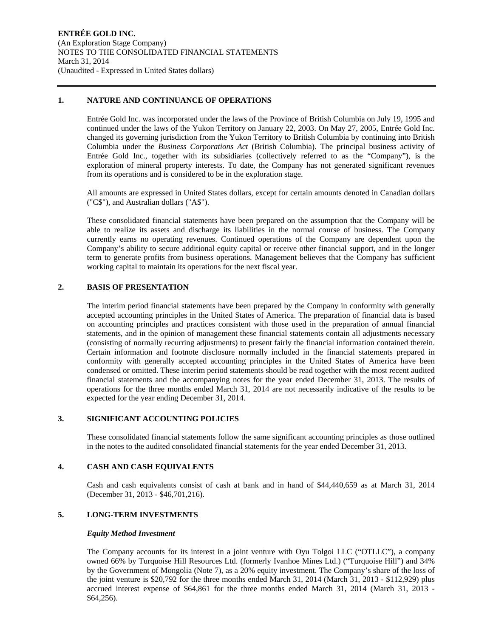#### **1. NATURE AND CONTINUANCE OF OPERATIONS**

Entrée Gold Inc. was incorporated under the laws of the Province of British Columbia on July 19, 1995 and continued under the laws of the Yukon Territory on January 22, 2003. On May 27, 2005, Entrée Gold Inc. changed its governing jurisdiction from the Yukon Territory to British Columbia by continuing into British Columbia under the *Business Corporations Act* (British Columbia). The principal business activity of Entrée Gold Inc., together with its subsidiaries (collectively referred to as the "Company"), is the exploration of mineral property interests. To date, the Company has not generated significant revenues from its operations and is considered to be in the exploration stage.

All amounts are expressed in United States dollars, except for certain amounts denoted in Canadian dollars ("C\$"), and Australian dollars ("A\$").

These consolidated financial statements have been prepared on the assumption that the Company will be able to realize its assets and discharge its liabilities in the normal course of business. The Company currently earns no operating revenues. Continued operations of the Company are dependent upon the Company's ability to secure additional equity capital or receive other financial support, and in the longer term to generate profits from business operations. Management believes that the Company has sufficient working capital to maintain its operations for the next fiscal year.

#### **2. BASIS OF PRESENTATION**

The interim period financial statements have been prepared by the Company in conformity with generally accepted accounting principles in the United States of America. The preparation of financial data is based on accounting principles and practices consistent with those used in the preparation of annual financial statements, and in the opinion of management these financial statements contain all adjustments necessary (consisting of normally recurring adjustments) to present fairly the financial information contained therein. Certain information and footnote disclosure normally included in the financial statements prepared in conformity with generally accepted accounting principles in the United States of America have been condensed or omitted. These interim period statements should be read together with the most recent audited financial statements and the accompanying notes for the year ended December 31, 2013. The results of operations for the three months ended March 31, 2014 are not necessarily indicative of the results to be expected for the year ending December 31, 2014.

#### **3. SIGNIFICANT ACCOUNTING POLICIES**

These consolidated financial statements follow the same significant accounting principles as those outlined in the notes to the audited consolidated financial statements for the year ended December 31, 2013.

#### **4. CASH AND CASH EQUIVALENTS**

Cash and cash equivalents consist of cash at bank and in hand of \$44,440,659 as at March 31, 2014 (December 31, 2013 - \$46,701,216).

#### **5. LONG-TERM INVESTMENTS**

#### *Equity Method Investment*

The Company accounts for its interest in a joint venture with Oyu Tolgoi LLC ("OTLLC"), a company owned 66% by Turquoise Hill Resources Ltd. (formerly Ivanhoe Mines Ltd.) ("Turquoise Hill") and 34% by the Government of Mongolia (Note 7), as a 20% equity investment. The Company's share of the loss of the joint venture is \$20,792 for the three months ended March 31, 2014 (March 31, 2013 - \$112,929) plus accrued interest expense of \$64,861 for the three months ended March 31, 2014 (March 31, 2013 - \$64,256).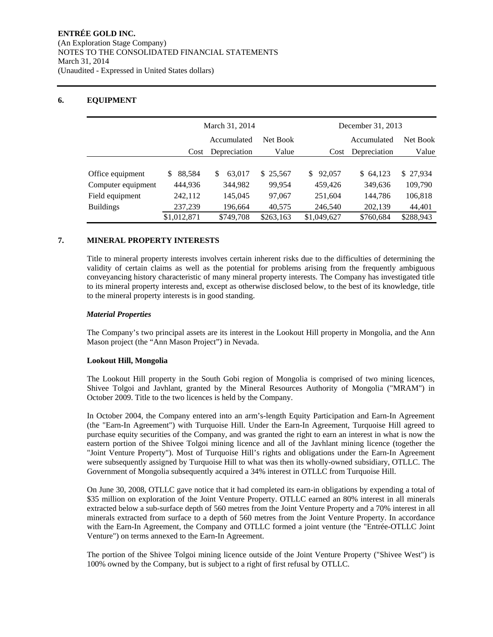#### **6. EQUIPMENT**

|                    |              | March 31, 2014 |           |               | December 31, 2013 |           |
|--------------------|--------------|----------------|-----------|---------------|-------------------|-----------|
|                    |              | Accumulated    | Net Book  |               | Accumulated       | Net Book  |
|                    | Cost         | Depreciation   | Value     | Cost          | Depreciation      | Value     |
|                    |              |                |           |               |                   |           |
| Office equipment   | 88.584<br>S. | S<br>63.017    | \$25,567  | 92,057<br>\$. | \$64,123          | \$27,934  |
| Computer equipment | 444,936      | 344,982        | 99.954    | 459,426       | 349,636           | 109,790   |
| Field equipment    | 242,112      | 145,045        | 97,067    | 251,604       | 144,786           | 106,818   |
| <b>Buildings</b>   | 237,239      | 196,664        | 40,575    | 246,540       | 202,139           | 44,401    |
|                    | \$1,012,871  | \$749.708      | \$263,163 | \$1,049,627   | \$760.684         | \$288,943 |

#### **7. MINERAL PROPERTY INTERESTS**

Title to mineral property interests involves certain inherent risks due to the difficulties of determining the validity of certain claims as well as the potential for problems arising from the frequently ambiguous conveyancing history characteristic of many mineral property interests. The Company has investigated title to its mineral property interests and, except as otherwise disclosed below, to the best of its knowledge, title to the mineral property interests is in good standing.

#### *Material Properties*

The Company's two principal assets are its interest in the Lookout Hill property in Mongolia, and the Ann Mason project (the "Ann Mason Project") in Nevada.

#### **Lookout Hill, Mongolia**

The Lookout Hill property in the South Gobi region of Mongolia is comprised of two mining licences, Shivee Tolgoi and Javhlant, granted by the Mineral Resources Authority of Mongolia ("MRAM") in October 2009. Title to the two licences is held by the Company.

In October 2004, the Company entered into an arm's-length Equity Participation and Earn-In Agreement (the "Earn-In Agreement") with Turquoise Hill. Under the Earn-In Agreement, Turquoise Hill agreed to purchase equity securities of the Company, and was granted the right to earn an interest in what is now the eastern portion of the Shivee Tolgoi mining licence and all of the Javhlant mining licence (together the "Joint Venture Property"). Most of Turquoise Hill's rights and obligations under the Earn-In Agreement were subsequently assigned by Turquoise Hill to what was then its wholly-owned subsidiary, OTLLC. The Government of Mongolia subsequently acquired a 34% interest in OTLLC from Turquoise Hill.

On June 30, 2008, OTLLC gave notice that it had completed its earn-in obligations by expending a total of \$35 million on exploration of the Joint Venture Property. OTLLC earned an 80% interest in all minerals extracted below a sub-surface depth of 560 metres from the Joint Venture Property and a 70% interest in all minerals extracted from surface to a depth of 560 metres from the Joint Venture Property. In accordance with the Earn-In Agreement, the Company and OTLLC formed a joint venture (the "Entrée-OTLLC Joint Venture") on terms annexed to the Earn-In Agreement.

The portion of the Shivee Tolgoi mining licence outside of the Joint Venture Property ("Shivee West") is 100% owned by the Company, but is subject to a right of first refusal by OTLLC.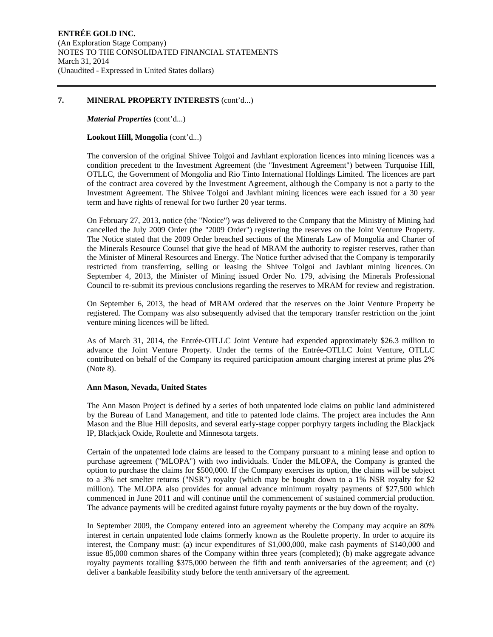#### **7. MINERAL PROPERTY INTERESTS** (cont'd...)

*Material Properties* (cont'd...)

#### **Lookout Hill, Mongolia** (cont'd...)

The conversion of the original Shivee Tolgoi and Javhlant exploration licences into mining licences was a condition precedent to the Investment Agreement (the "Investment Agreement") between Turquoise Hill, OTLLC, the Government of Mongolia and Rio Tinto International Holdings Limited. The licences are part of the contract area covered by the Investment Agreement, although the Company is not a party to the Investment Agreement. The Shivee Tolgoi and Javhlant mining licences were each issued for a 30 year term and have rights of renewal for two further 20 year terms.

On February 27, 2013, notice (the "Notice") was delivered to the Company that the Ministry of Mining had cancelled the July 2009 Order (the "2009 Order") registering the reserves on the Joint Venture Property. The Notice stated that the 2009 Order breached sections of the Minerals Law of Mongolia and Charter of the Minerals Resource Counsel that give the head of MRAM the authority to register reserves, rather than the Minister of Mineral Resources and Energy. The Notice further advised that the Company is temporarily restricted from transferring, selling or leasing the Shivee Tolgoi and Javhlant mining licences. On September 4, 2013, the Minister of Mining issued Order No. 179, advising the Minerals Professional Council to re-submit its previous conclusions regarding the reserves to MRAM for review and registration.

On September 6, 2013, the head of MRAM ordered that the reserves on the Joint Venture Property be registered. The Company was also subsequently advised that the temporary transfer restriction on the joint venture mining licences will be lifted.

As of March 31, 2014, the Entrée-OTLLC Joint Venture had expended approximately \$26.3 million to advance the Joint Venture Property. Under the terms of the Entrée-OTLLC Joint Venture, OTLLC contributed on behalf of the Company its required participation amount charging interest at prime plus 2% (Note 8).

#### **Ann Mason, Nevada, United States**

The Ann Mason Project is defined by a series of both unpatented lode claims on public land administered by the Bureau of Land Management, and title to patented lode claims. The project area includes the Ann Mason and the Blue Hill deposits, and several early-stage copper porphyry targets including the Blackjack IP, Blackjack Oxide, Roulette and Minnesota targets.

Certain of the unpatented lode claims are leased to the Company pursuant to a mining lease and option to purchase agreement ("MLOPA") with two individuals. Under the MLOPA, the Company is granted the option to purchase the claims for \$500,000. If the Company exercises its option, the claims will be subject to a 3% net smelter returns ("NSR") royalty (which may be bought down to a 1% NSR royalty for \$2 million). The MLOPA also provides for annual advance minimum royalty payments of \$27,500 which commenced in June 2011 and will continue until the commencement of sustained commercial production. The advance payments will be credited against future royalty payments or the buy down of the royalty.

In September 2009, the Company entered into an agreement whereby the Company may acquire an 80% interest in certain unpatented lode claims formerly known as the Roulette property. In order to acquire its interest, the Company must: (a) incur expenditures of \$1,000,000, make cash payments of \$140,000 and issue 85,000 common shares of the Company within three years (completed); (b) make aggregate advance royalty payments totalling \$375,000 between the fifth and tenth anniversaries of the agreement; and (c) deliver a bankable feasibility study before the tenth anniversary of the agreement.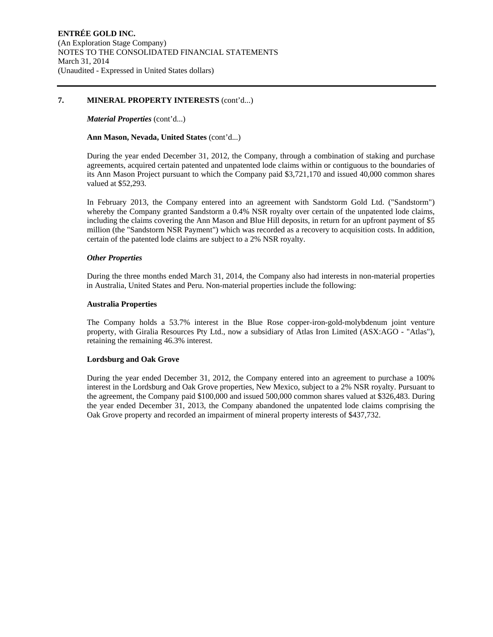#### **7. MINERAL PROPERTY INTERESTS** (cont'd...)

#### *Material Properties* (cont'd...)

#### **Ann Mason, Nevada, United States** (cont'd...)

During the year ended December 31, 2012, the Company, through a combination of staking and purchase agreements, acquired certain patented and unpatented lode claims within or contiguous to the boundaries of its Ann Mason Project pursuant to which the Company paid \$3,721,170 and issued 40,000 common shares valued at \$52,293.

In February 2013, the Company entered into an agreement with Sandstorm Gold Ltd. ("Sandstorm") whereby the Company granted Sandstorm a 0.4% NSR royalty over certain of the unpatented lode claims, including the claims covering the Ann Mason and Blue Hill deposits, in return for an upfront payment of \$5 million (the "Sandstorm NSR Payment") which was recorded as a recovery to acquisition costs. In addition, certain of the patented lode claims are subject to a 2% NSR royalty.

#### *Other Properties*

During the three months ended March 31, 2014, the Company also had interests in non-material properties in Australia, United States and Peru. Non-material properties include the following:

#### **Australia Properties**

The Company holds a 53.7% interest in the Blue Rose copper-iron-gold-molybdenum joint venture property, with Giralia Resources Pty Ltd., now a subsidiary of Atlas Iron Limited (ASX:AGO - "Atlas"), retaining the remaining 46.3% interest.

#### **Lordsburg and Oak Grove**

During the year ended December 31, 2012, the Company entered into an agreement to purchase a 100% interest in the Lordsburg and Oak Grove properties, New Mexico, subject to a 2% NSR royalty. Pursuant to the agreement, the Company paid \$100,000 and issued 500,000 common shares valued at \$326,483. During the year ended December 31, 2013, the Company abandoned the unpatented lode claims comprising the Oak Grove property and recorded an impairment of mineral property interests of \$437,732.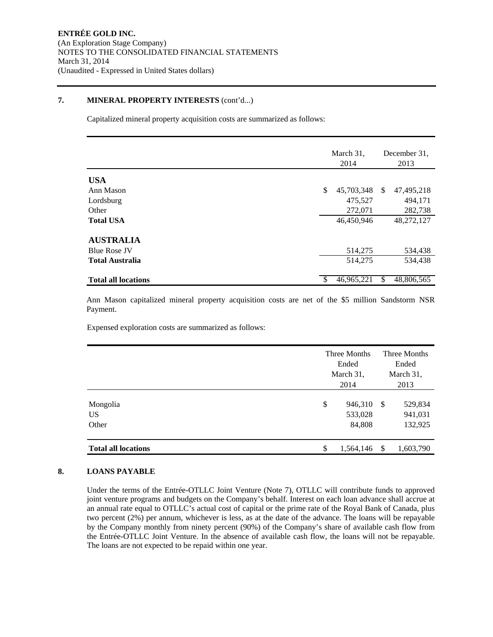#### **7. MINERAL PROPERTY INTERESTS** (cont'd...)

Capitalized mineral property acquisition costs are summarized as follows:

|                            | March 31,<br>2014 |               | December 31,<br>2013 |
|----------------------------|-------------------|---------------|----------------------|
| <b>USA</b>                 |                   |               |                      |
| Ann Mason                  | \$<br>45,703,348  | <sup>\$</sup> | 47,495,218           |
| Lordsburg                  | 475,527           |               | 494,171              |
| Other                      | 272,071           |               | 282,738              |
| <b>Total USA</b>           | 46,450,946        |               | 48,272,127           |
| <b>AUSTRALIA</b>           |                   |               |                      |
| <b>Blue Rose JV</b>        | 514,275           |               | 534,438              |
| <b>Total Australia</b>     | 514,275           |               | 534,438              |
| <b>Total all locations</b> | 46,965,221        | S             | 48,806,565           |

Ann Mason capitalized mineral property acquisition costs are net of the \$5 million Sandstorm NSR Payment.

Expensed exploration costs are summarized as follows:

|                                | Three Months<br>Ended<br>March 31,<br>2014 |               | Three Months<br>Ended<br>March 31,<br>2013 |
|--------------------------------|--------------------------------------------|---------------|--------------------------------------------|
| Mongolia<br><b>US</b><br>Other | \$<br>946,310<br>533,028<br>84,808         | -S            | 529,834<br>941,031<br>132,925              |
| <b>Total all locations</b>     | \$<br>1,564,146                            | $\mathcal{S}$ | 1,603,790                                  |

#### **8. LOANS PAYABLE**

Under the terms of the Entrée-OTLLC Joint Venture (Note 7), OTLLC will contribute funds to approved joint venture programs and budgets on the Company's behalf. Interest on each loan advance shall accrue at an annual rate equal to OTLLC's actual cost of capital or the prime rate of the Royal Bank of Canada, plus two percent (2%) per annum, whichever is less, as at the date of the advance. The loans will be repayable by the Company monthly from ninety percent (90%) of the Company's share of available cash flow from the Entrée-OTLLC Joint Venture. In the absence of available cash flow, the loans will not be repayable. The loans are not expected to be repaid within one year.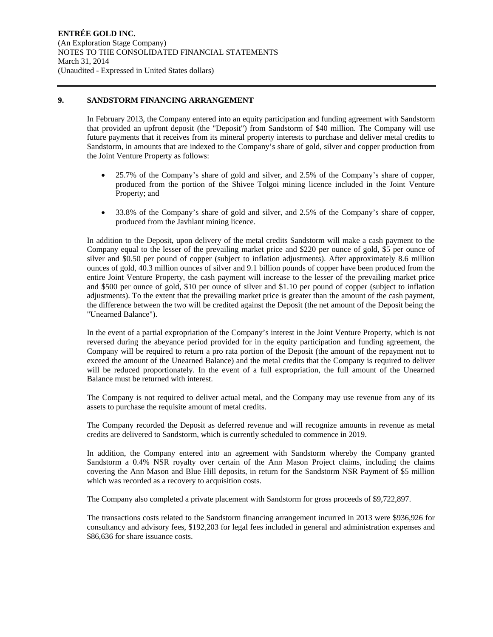#### **9. SANDSTORM FINANCING ARRANGEMENT**

In February 2013, the Company entered into an equity participation and funding agreement with Sandstorm that provided an upfront deposit (the "Deposit") from Sandstorm of \$40 million. The Company will use future payments that it receives from its mineral property interests to purchase and deliver metal credits to Sandstorm, in amounts that are indexed to the Company's share of gold, silver and copper production from the Joint Venture Property as follows:

- 25.7% of the Company's share of gold and silver, and 2.5% of the Company's share of copper, produced from the portion of the Shivee Tolgoi mining licence included in the Joint Venture Property; and
- 33.8% of the Company's share of gold and silver, and 2.5% of the Company's share of copper, produced from the Javhlant mining licence.

In addition to the Deposit, upon delivery of the metal credits Sandstorm will make a cash payment to the Company equal to the lesser of the prevailing market price and \$220 per ounce of gold, \$5 per ounce of silver and \$0.50 per pound of copper (subject to inflation adjustments). After approximately 8.6 million ounces of gold, 40.3 million ounces of silver and 9.1 billion pounds of copper have been produced from the entire Joint Venture Property, the cash payment will increase to the lesser of the prevailing market price and \$500 per ounce of gold, \$10 per ounce of silver and \$1.10 per pound of copper (subject to inflation adjustments). To the extent that the prevailing market price is greater than the amount of the cash payment, the difference between the two will be credited against the Deposit (the net amount of the Deposit being the "Unearned Balance").

In the event of a partial expropriation of the Company's interest in the Joint Venture Property, which is not reversed during the abeyance period provided for in the equity participation and funding agreement, the Company will be required to return a pro rata portion of the Deposit (the amount of the repayment not to exceed the amount of the Unearned Balance) and the metal credits that the Company is required to deliver will be reduced proportionately. In the event of a full expropriation, the full amount of the Unearned Balance must be returned with interest.

The Company is not required to deliver actual metal, and the Company may use revenue from any of its assets to purchase the requisite amount of metal credits.

The Company recorded the Deposit as deferred revenue and will recognize amounts in revenue as metal credits are delivered to Sandstorm, which is currently scheduled to commence in 2019.

In addition, the Company entered into an agreement with Sandstorm whereby the Company granted Sandstorm a 0.4% NSR royalty over certain of the Ann Mason Project claims, including the claims covering the Ann Mason and Blue Hill deposits, in return for the Sandstorm NSR Payment of \$5 million which was recorded as a recovery to acquisition costs.

The Company also completed a private placement with Sandstorm for gross proceeds of \$9,722,897.

The transactions costs related to the Sandstorm financing arrangement incurred in 2013 were \$936,926 for consultancy and advisory fees, \$192,203 for legal fees included in general and administration expenses and \$86,636 for share issuance costs.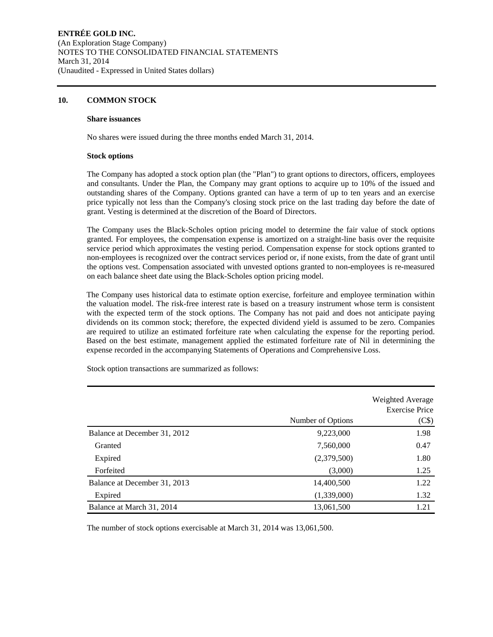#### **10. COMMON STOCK**

#### **Share issuances**

No shares were issued during the three months ended March 31, 2014.

#### **Stock options**

The Company has adopted a stock option plan (the "Plan") to grant options to directors, officers, employees and consultants. Under the Plan, the Company may grant options to acquire up to 10% of the issued and outstanding shares of the Company. Options granted can have a term of up to ten years and an exercise price typically not less than the Company's closing stock price on the last trading day before the date of grant. Vesting is determined at the discretion of the Board of Directors.

The Company uses the Black-Scholes option pricing model to determine the fair value of stock options granted. For employees, the compensation expense is amortized on a straight-line basis over the requisite service period which approximates the vesting period. Compensation expense for stock options granted to non-employees is recognized over the contract services period or, if none exists, from the date of grant until the options vest. Compensation associated with unvested options granted to non-employees is re-measured on each balance sheet date using the Black-Scholes option pricing model.

The Company uses historical data to estimate option exercise, forfeiture and employee termination within the valuation model. The risk-free interest rate is based on a treasury instrument whose term is consistent with the expected term of the stock options. The Company has not paid and does not anticipate paying dividends on its common stock; therefore, the expected dividend yield is assumed to be zero. Companies are required to utilize an estimated forfeiture rate when calculating the expense for the reporting period. Based on the best estimate, management applied the estimated forfeiture rate of Nil in determining the expense recorded in the accompanying Statements of Operations and Comprehensive Loss.

Stock option transactions are summarized as follows:

|                              |                   | Weighted Average<br><b>Exercise Price</b> |
|------------------------------|-------------------|-------------------------------------------|
|                              | Number of Options | (C <sub>s</sub> )                         |
| Balance at December 31, 2012 | 9,223,000         | 1.98                                      |
| Granted                      | 7,560,000         | 0.47                                      |
| Expired                      | (2,379,500)       | 1.80                                      |
| Forfeited                    | (3,000)           | 1.25                                      |
| Balance at December 31, 2013 | 14,400,500        | 1.22                                      |
| Expired                      | (1,339,000)       | 1.32                                      |
| Balance at March 31, 2014    | 13,061,500        | 1.21                                      |

The number of stock options exercisable at March 31, 2014 was 13,061,500.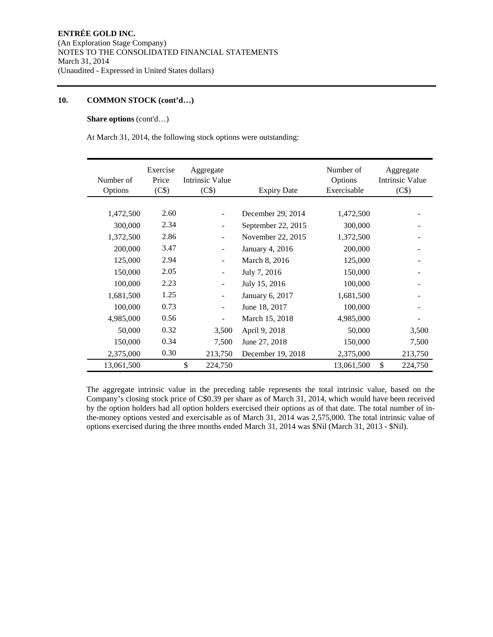#### **10. COMMON STOCK (cont'd…)**

#### **Share options** (cont'd…)

At March 31, 2014, the following stock options were outstanding:

| Number of<br>Options | Exercise<br>Price<br>(C\$) | Aggregate<br>Intrinsic Value<br>(C\$) | <b>Expiry Date</b> | Number of<br>Options<br>Exercisable | Aggregate<br>Intrinsic Value<br>(C\$) |
|----------------------|----------------------------|---------------------------------------|--------------------|-------------------------------------|---------------------------------------|
|                      |                            |                                       |                    |                                     |                                       |
| 1,472,500            | 2.60                       | $\overline{\phantom{m}}$              | December 29, 2014  | 1,472,500                           |                                       |
| 300,000              | 2.34                       | $\overline{\phantom{0}}$              | September 22, 2015 | 300,000                             |                                       |
| 1,372,500            | 2.86                       | $\overline{\phantom{m}}$              | November 22, 2015  | 1,372,500                           |                                       |
| 200,000              | 3.47                       | $\overline{\phantom{a}}$              | January 4, 2016    | 200,000                             |                                       |
| 125,000              | 2.94                       | $\overline{\phantom{a}}$              | March 8, 2016      | 125,000                             |                                       |
| 150,000              | 2.05                       | $\overline{\phantom{a}}$              | July 7, 2016       | 150,000                             |                                       |
| 100,000              | 2.23                       | $\overline{\phantom{a}}$              | July 15, 2016      | 100,000                             |                                       |
| 1,681,500            | 1.25                       | $\overline{\phantom{a}}$              | January 6, 2017    | 1,681,500                           |                                       |
| 100,000              | 0.73                       | $\overline{\phantom{a}}$              | June 18, 2017      | 100,000                             |                                       |
| 4,985,000            | 0.56                       | ÷,                                    | March 15, 2018     | 4,985,000                           |                                       |
| 50,000               | 0.32                       | 3,500                                 | April 9, 2018      | 50,000                              | 3,500                                 |
| 150,000              | 0.34                       | 7,500                                 | June 27, 2018      | 150,000                             | 7,500                                 |
| 2,375,000            | 0.30                       | 213,750                               | December 19, 2018  | 2,375,000                           | 213,750                               |
| 13,061,500           |                            | \$<br>224,750                         |                    | 13,061,500                          | \$<br>224,750                         |

The aggregate intrinsic value in the preceding table represents the total intrinsic value, based on the Company's closing stock price of C\$0.39 per share as of March 31, 2014, which would have been received by the option holders had all option holders exercised their options as of that date. The total number of inthe-money options vested and exercisable as of March 31, 2014 was 2,575,000. The total intrinsic value of options exercised during the three months ended March 31, 2014 was \$Nil (March 31, 2013 - \$Nil).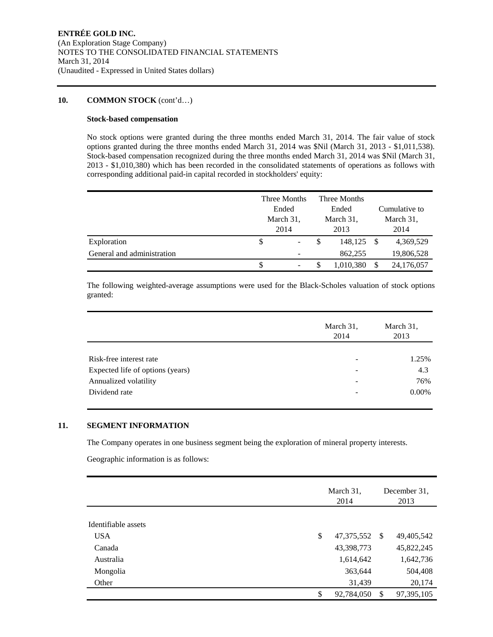#### **10. COMMON STOCK** (cont'd…)

#### **Stock-based compensation**

No stock options were granted during the three months ended March 31, 2014. The fair value of stock options granted during the three months ended March 31, 2014 was \$Nil (March 31, 2013 - \$1,011,538). Stock-based compensation recognized during the three months ended March 31, 2014 was \$Nil (March 31, 2013 - \$1,010,380) which has been recorded in the consolidated statements of operations as follows with corresponding additional paid-in capital recorded in stockholders' equity:

|                            |           | Three Months |           | Three Months |    |               |
|----------------------------|-----------|--------------|-----------|--------------|----|---------------|
|                            | Ended     |              | Ended     |              |    | Cumulative to |
|                            | March 31, |              | March 31, |              |    | March 31,     |
|                            |           | 2014         |           | 2013         |    | 2014          |
| Exploration                | \$        | ۰.           | \$        | 148,125      | -S | 4,369,529     |
| General and administration |           |              |           | 862,255      |    | 19,806,528    |
|                            | S         | ۰.           |           | 1,010,380    | S  | 24,176,057    |

The following weighted-average assumptions were used for the Black-Scholes valuation of stock options granted:

| March 31,<br>2014        | March 31,<br>2013 |
|--------------------------|-------------------|
|                          |                   |
|                          | 1.25%             |
| -                        | 4.3               |
| ٠                        | 76%               |
| $\overline{\phantom{a}}$ | 0.00%             |
|                          |                   |

#### **11. SEGMENT INFORMATION**

The Company operates in one business segment being the exploration of mineral property interests.

Geographic information is as follows:

|                     | March 31,<br>2014  |     | December 31.<br>2013 |
|---------------------|--------------------|-----|----------------------|
|                     |                    |     |                      |
| Identifiable assets |                    |     |                      |
| <b>USA</b>          | \$<br>47, 375, 552 | -\$ | 49,405,542           |
| Canada              | 43,398,773         |     | 45,822,245           |
| Australia           | 1,614,642          |     | 1,642,736            |
| Mongolia            | 363,644            |     | 504,408              |
| Other               | 31,439             |     | 20,174               |
|                     | \$<br>92,784,050   | S   | 97,395,105           |
|                     |                    |     |                      |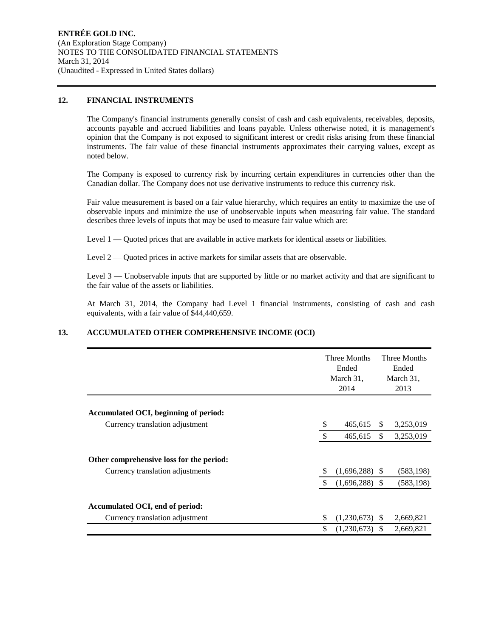#### **12. FINANCIAL INSTRUMENTS**

The Company's financial instruments generally consist of cash and cash equivalents, receivables, deposits, accounts payable and accrued liabilities and loans payable. Unless otherwise noted, it is management's opinion that the Company is not exposed to significant interest or credit risks arising from these financial instruments. The fair value of these financial instruments approximates their carrying values, except as noted below.

The Company is exposed to currency risk by incurring certain expenditures in currencies other than the Canadian dollar. The Company does not use derivative instruments to reduce this currency risk.

Fair value measurement is based on a fair value hierarchy, which requires an entity to maximize the use of observable inputs and minimize the use of unobservable inputs when measuring fair value. The standard describes three levels of inputs that may be used to measure fair value which are:

Level 1 — Quoted prices that are available in active markets for identical assets or liabilities.

Level  $2 -$  Quoted prices in active markets for similar assets that are observable.

Level 3 — Unobservable inputs that are supported by little or no market activity and that are significant to the fair value of the assets or liabilities.

At March 31, 2014, the Company had Level 1 financial instruments, consisting of cash and cash equivalents, with a fair value of \$44,440,659.

### Three Months Ended March 31, 2014 Three Months Ended March 31, 2013 **Accumulated OCI, beginning of period:** Currency translation adjustment  $\qquad$   $\qquad$   $\qquad$   $\qquad$   $\qquad$   $\qquad$   $\qquad$   $\qquad$   $\qquad$   $\qquad$   $\qquad$   $\qquad$   $\qquad$   $\qquad$   $\qquad$   $\qquad$   $\qquad$   $\qquad$   $\qquad$   $\qquad$   $\qquad$   $\qquad$   $\qquad$   $\qquad$   $\qquad$   $\qquad$   $\qquad$   $\qquad$   $\qquad$   $\qquad$   $\qquad$   $\q$ \$ 3,253,019 465,615 \$ **Other comprehensive loss for the period:** Currency translation adjustments  $\frac{1}{2}$  (1,696,288) \$ (583,198)  $(1,696,288)$  \$  $(583,198)$ **Accumulated OCI, end of period:** Currency translation adjustment  $\qquad \qquad$  (1,230,673) \$ 2,669,821  $$ (1,230,673) \$ 2,669,821$

#### **13. ACCUMULATED OTHER COMPREHENSIVE INCOME (OCI)**